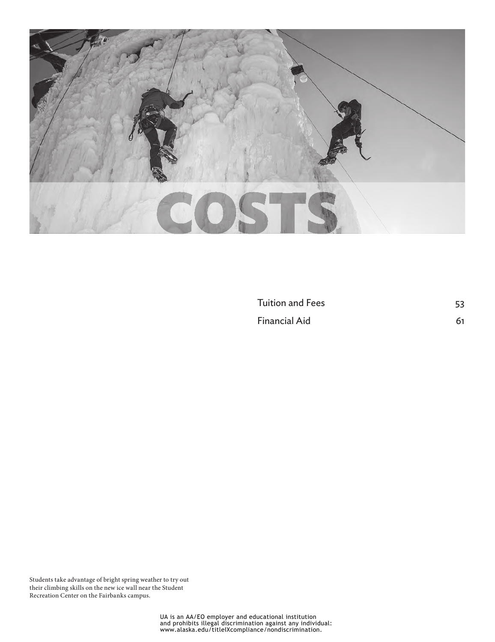

[Tuition and Fees](#page-1-0) 53 [Financial Aid](#page-9-0) 61

Students take advantage of bright spring weather to try out their climbing skills on the new ice wall near the Student Recreation Center on the Fairbanks campus.

UA is an AA/EO employer and educational institution and prohibits illegal discrimination against any individual: www.alaska.edu/titleIXcompliance/nondiscrimination.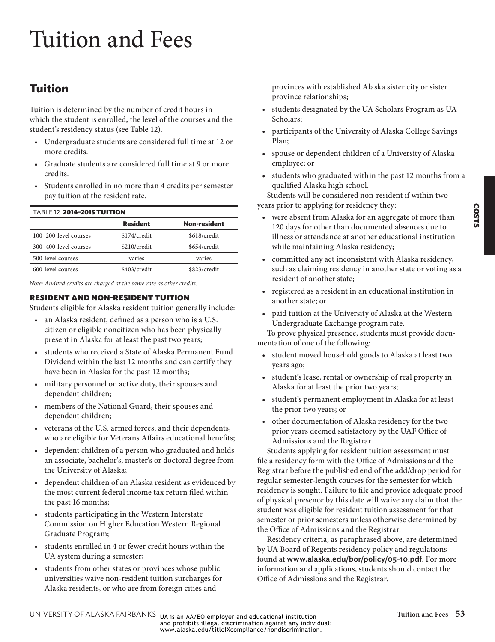# <span id="page-1-0"></span>Tuition and Fees

# **Tuition**

Tuition is determined by the number of credit hours in which the student is enrolled, the level of the courses and the student's residency status (see [Table 12](#page-1-1)).

- Undergraduate students are considered full time at 12 or more credits.
- Graduate students are considered full time at 9 or more credits.
- Students enrolled in no more than 4 credits per semester pay tuition at the resident rate.

**Resident Non-resident**

<span id="page-1-1"></span>

| <b>TABLE 12 2014-2015 TUITION</b> |                 |
|-----------------------------------|-----------------|
|                                   | <b>Resident</b> |

|                       | .            | IVVII IVJIMVIIV |
|-----------------------|--------------|-----------------|
| 100-200-level courses | \$174/credit | \$618/credit    |
| 300-400-level courses | \$210/credit | \$654/credit    |
| 500-level courses     | varies       | varies          |
| 600-level courses     | \$403/credit | \$823/credit    |

*Note: Audited credits are charged at the same rate as other credits.*

#### <span id="page-1-2"></span>RESIDENT AND NON-RESIDENT TUITION

Students eligible for Alaska resident tuition generally include:

- an Alaska resident, defined as a person who is a U.S. citizen or eligible noncitizen who has been physically present in Alaska for at least the past two years;
- students who received a State of Alaska Permanent Fund Dividend within the last 12 months and can certify they have been in Alaska for the past 12 months;
- military personnel on active duty, their spouses and dependent children;
- members of the National Guard, their spouses and dependent children;
- veterans of the U.S. armed forces, and their dependents, who are eligible for Veterans Affairs educational benefits;
- dependent children of a person who graduated and holds an associate, bachelor's, master's or doctoral degree from the University of Alaska;
- dependent children of an Alaska resident as evidenced by the most current federal income tax return filed within the past 16 months;
- students participating in the Western Interstate Commission on Higher Education Western Regional Graduate Program;
- students enrolled in 4 or fewer credit hours within the UA system during a semester;
- students from other states or provinces whose public universities waive non-resident tuition surcharges for Alaska residents, or who are from foreign cities and

provinces with established Alaska sister city or sister province relationships;

- students designated by the UA Scholars Program as UA Scholars;
- participants of the University of Alaska College Savings Plan;
- spouse or dependent children of a University of Alaska employee; or
- students who graduated within the past 12 months from a qualified Alaska high school.

Students will be considered non-resident if within two years prior to applying for residency they:

- were absent from Alaska for an aggregate of more than 120 days for other than documented absences due to illness or attendance at another educational institution while maintaining Alaska residency;
- committed any act inconsistent with Alaska residency, such as claiming residency in another state or voting as a resident of another state;
- registered as a resident in an educational institution in another state; or
- paid tuition at the University of Alaska at the Western Undergraduate Exchange program rate.

To prove physical presence, students must provide documentation of one of the following:

- student moved household goods to Alaska at least two years ago;
- student's lease, rental or ownership of real property in Alaska for at least the prior two years;
- student's permanent employment in Alaska for at least the prior two years; or
- other documentation of Alaska residency for the two prior years deemed satisfactory by the UAF Office of Admissions and the Registrar.

Students applying for resident tuition assessment must file a residency form with the Office of Admissions and the Registrar before the published end of the add/drop period for regular semester-length courses for the semester for which residency is sought. Failure to file and provide adequate proof of physical presence by this date will waive any claim that the student was eligible for resident tuition assessment for that semester or prior semesters unless otherwise determined by the Office of Admissions and the Registrar.

Residency criteria, as paraphrased above, are determined by UA Board of Regents residency policy and regulations found at www.alaska.edu/bor/policy/05-10.pdf. For more information and applications, students should contact the Office of Admissions and the Registrar.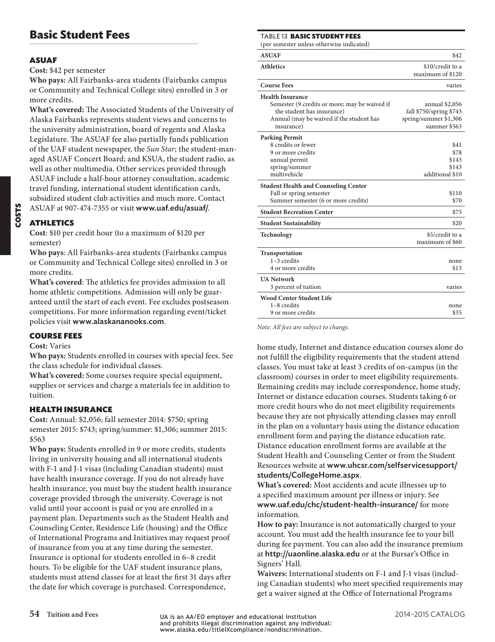# **Basic Student Fees**

#### ASUAF

**Cost:** \$42 per semester

**Who pays:** All Fairbanks-area students (Fairbanks campus or Community and Technical College sites) enrolled in 3 or more credits.

**What's covered:** The Associated Students of the University of Alaska Fairbanks represents student views and concerns to the university administration, board of regents and Alaska Legislature. The ASUAF fee also partially funds publication of the UAF student newspaper, the *Sun Star*; the student-managed ASUAF Concert Board; and KSUA, the student radio, as well as other multimedia. Other services provided through ASUAF include a half-hour attorney consultation, academic travel funding, international student identification cards, subsidized student club activities and much more. Contact ASUAF at 907-474-7355 or visit www.uaf.edu/asuaf/.

#### ATHLETICS

**Cost**: \$10 per credit hour (to a maximum of \$120 per semester)

**Who pays**: All Fairbanks-area students (Fairbanks campus or Community and Technical College sites) enrolled in 3 or more credits.

**What's covered**: The athletics fee provides admission to all home athletic competitions. Admission will only be guaranteed until the start of each event. Fee excludes postseason competitions. For more information regarding event/ticket policies visit www.alaskananooks.com.

#### COURSE FEES

#### **Cost:** Varies

**Who pays:** Students enrolled in courses with special fees. See the class schedule for individual classes.

**What's covered:** Some courses require special equipment, supplies or services and charge a materials fee in addition to tuition.

#### HEALTH INSURANCE

**Cost:** Annual: \$2,056; fall semester 2014: \$750; spring semester 2015: \$743; spring/summer: \$1,306; summer 2015: \$563

**Who pays:** Students enrolled in 9 or more credits, students living in university housing and all international students with F-1 and J-1 visas (including Canadian students) must have health insurance coverage. If you do not already have health insurance, you must buy the student health insurance coverage provided through the university. Coverage is not valid until your account is paid or you are enrolled in a payment plan. Departments such as the Student Health and Counseling Center, Residence Life (housing) and the Office of International Programs and Initiatives may request proof of insurance from you at any time during the semester. Insurance is optional for students enrolled in 6–8 credit hours. To be eligible for the UAF student insurance plans, students must attend classes for at least the first 31 days after the date for which coverage is purchased. Correspondence,

Table 13 BASIC STUDENT FEES

(per semester unless otherwise indicated)

| <b>ASUAF</b>                                  | \$42                    |
|-----------------------------------------------|-------------------------|
| <b>Athletics</b>                              | \$10/credit to a        |
|                                               | maximum of \$120        |
| <b>Course Fees</b>                            | varies                  |
| <b>Health Insurance</b>                       |                         |
| Semester (9 credits or more; may be waived if | annual \$2,056          |
| the student has insurance)                    | fall \$750/spring \$743 |
| Annual (may be waived if the student has      | spring/summer \$1,306   |
| insurance)                                    | summer \$563            |
| <b>Parking Permit</b>                         |                         |
| 8 credits or fewer                            | \$41                    |
| 9 or more credits                             | \$78                    |
| annual permit                                 | \$143                   |
| spring/summer                                 | \$143                   |
| multivehicle                                  | additional \$10         |
|                                               |                         |
| <b>Student Health and Counseling Center</b>   |                         |
| Fall or spring semester                       | \$110                   |
| Summer semester (6 or more credits)           | \$70                    |
| <b>Student Recreation Center</b>              | \$75                    |
| <b>Student Sustainability</b>                 | \$20                    |
| <b>Technology</b>                             | \$5/credit to a         |
|                                               | maximum of \$60         |
| Transportation                                |                         |
| $1-3$ credits                                 | none                    |
| 4 or more credits                             | \$13                    |
| <b>UA Network</b>                             |                         |
| 3 percent of tuition                          | varies                  |
| <b>Wood Center Student Life</b>               |                         |
| 1-8 credits                                   | none                    |
| 9 or more credits                             | \$35                    |
|                                               |                         |

*Note: All fees are subject to change.*

home study, Internet and distance education courses alone do not fulfill the eligibility requirements that the student attend classes. You must take at least 3 credits of on-campus (in the classroom) courses in order to meet eligibility requirements. Remaining credits may include correspondence, home study, Internet or distance education courses. Students taking 6 or more credit hours who do not meet eligibility requirements because they are not physically attending classes may enroll in the plan on a voluntary basis using the distance education enrollment form and paying the distance education rate. Distance education enrollment forms are available at the Student Health and Counseling Center or from the Student Resources website at [www.uhcsr.com/selfservicesupport/](http://www.uhcsr.com/selfservicesupport/students/CollegeHome.aspx) [students/CollegeHome.aspx](http://www.uhcsr.com/selfservicesupport/students/CollegeHome.aspx).

**What's covered:** Most accidents and acute illnesses up to a specified maximum amount per illness or injury. See www.uaf.edu/chc/student-health-insurance/ for more information.

**How to pay:** Insurance is not automatically charged to your account. You must add the health insurance fee to your bill during fee payment. You can also add the insurance premium at http://uaonline.alaska.edu or at the Bursar's Office in Signers' Hall.

**Waivers:** International students on F-1 and J-1 visas (including Canadian students) who meet specified requirements may get a waiver signed at the Office of International Programs

COSTS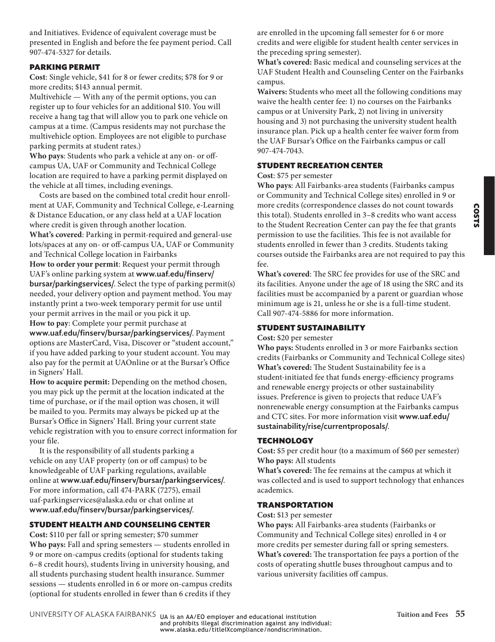COSTS

and Initiatives. Evidence of equivalent coverage must be presented in English and before the fee payment period. Call 907-474-5327 for details.

#### PARKING PERMIT

**Cost**: Single vehicle, \$41 for 8 or fewer credits; \$78 for 9 or more credits; \$143 annual permit.

Multivehicle — With any of the permit options, you can register up to four vehicles for an additional \$10. You will receive a hang tag that will allow you to park one vehicle on campus at a time. (Campus residents may not purchase the multivehicle option. Employees are not eligible to purchase parking permits at student rates.)

**Who pays**: Students who park a vehicle at any on- or offcampus UA, UAF or Community and Technical College location are required to have a parking permit displayed on the vehicle at all times, including evenings.

Costs are based on the combined total credit hour enrollment at UAF, Community and Technical College, e-Learning & Distance Education, or any class held at a UAF location where credit is given through another location. **What's covered**: Parking in permit-required and general-use lots/spaces at any on- or off-campus UA, UAF or Community and Technical College location in Fairbanks **How to order your permit**: Request your permit through UAF's online parking system at www.uaf.edu/finserv/ bursar/parkingservices/. Select the type of parking permit(s) needed, your delivery option and payment method. You may instantly print a two-week temporary permit for use until your permit arrives in the mail or you pick it up. **How to pay**: Complete your permit purchase at www.uaf.edu/finserv/bursar/parkingservices/. Payment options are MasterCard, Visa, Discover or "student account," if you have added parking to your student account. You may

also pay for the permit at UAOnline or at the Bursar's Office in Signers' Hall. **How to acquire permit:** Depending on the method chosen,

you may pick up the permit at the location indicated at the time of purchase, or if the mail option was chosen, it will be mailed to you. Permits may always be picked up at the Bursar's Office in Signers' Hall. Bring your current state vehicle registration with you to ensure correct information for your file.

It is the responsibility of all students parking a vehicle on any UAF property (on or off campus) to be knowledgeable of UAF parking regulations, available online at www.uaf.edu/finserv/bursar/parkingservices/. For more information, call 474-PARK (7275), email uaf-parkingservices@alaska.edu or chat online at www.uaf.edu/finserv/bursar/parkingservices/.

#### STUDENT HEALTH AND COUNSELING CENTER

**Cost:** \$110 per fall or spring semester; \$70 summer **Who pays:** Fall and spring semesters — students enrolled in 9 or more on-campus credits (optional for students taking 6–8 credit hours), students living in university housing, and all students purchasing student health insurance. Summer sessions — students enrolled in 6 or more on-campus credits (optional for students enrolled in fewer than 6 credits if they

are enrolled in the upcoming fall semester for 6 or more credits and were eligible for student health center services in the preceding spring semester).

**What's covered:** Basic medical and counseling services at the UAF Student Health and Counseling Center on the Fairbanks campus.

**Waivers:** Students who meet all the following conditions may waive the health center fee: 1) no courses on the Fairbanks campus or at University Park, 2) not living in university housing and 3) not purchasing the university student health insurance plan. Pick up a health center fee waiver form from the UAF Bursar's Office on the Fairbanks campus or call 907-474-7043.

#### STUDENT RECREATION CENTER

#### **Cost**: \$75 per semester

**Who pays**: All Fairbanks-area students (Fairbanks campus or Community and Technical College sites) enrolled in 9 or more credits (correspondence classes do not count towards this total). Students enrolled in 3–8 credits who want access to the Student Recreation Center can pay the fee that grants permission to use the facilities. This fee is not available for students enrolled in fewer than 3 credits. Students taking courses outside the Fairbanks area are not required to pay this fee.

**What's covered**: The SRC fee provides for use of the SRC and its facilities. Anyone under the age of 18 using the SRC and its facilities must be accompanied by a parent or guardian whose minimum age is 21, unless he or she is a full-time student. Call 907-474-5886 for more information.

#### STUDENT SUSTAINABILITY

#### **Cost:** \$20 per semester

**Who pays:** Students enrolled in 3 or more Fairbanks section credits (Fairbanks or Community and Technical College sites) **What's covered:** The Student Sustainability fee is a student-initiated fee that funds energy-efficiency programs and renewable energy projects or other sustainability issues. Preference is given to projects that reduce UAF's nonrenewable energy consumption at the Fairbanks campus and CTC sites. For more information visit [www.uaf.edu/](www.uaf.edu/sustainability/rise/currentproposals/) [sustainability/rise/currentproposals/](www.uaf.edu/sustainability/rise/currentproposals/).

#### **TECHNOLOGY**

**Cost:** \$5 per credit hour (to a maximum of \$60 per semester) **Who pays:** All students

**What's covered:** The fee remains at the campus at which it was collected and is used to support technology that enhances academics.

#### TRANSPORTATION

#### **Cost:** \$13 per semester

**Who pays:** All Fairbanks-area students (Fairbanks or Community and Technical College sites) enrolled in 4 or more credits per semester during fall or spring semesters. **What's covered:** The transportation fee pays a portion of the costs of operating shuttle buses throughout campus and to various university facilities off campus.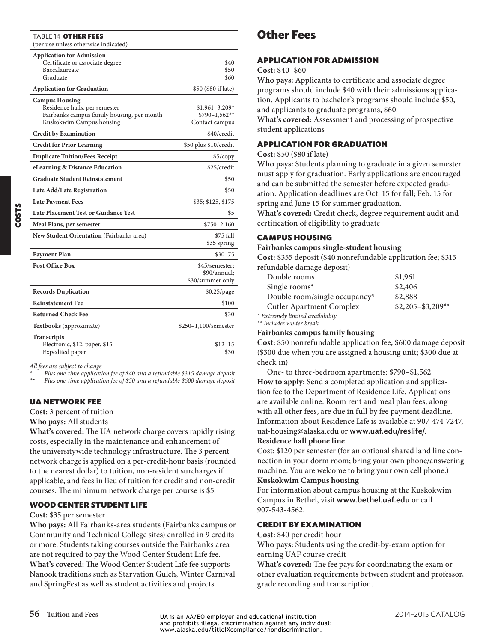| TABLE 14 OTHER FEES<br>(per use unless otherwise indicated)                                                                      |                                                     |
|----------------------------------------------------------------------------------------------------------------------------------|-----------------------------------------------------|
| <b>Application for Admission</b><br>Certificate or associate degree<br>Baccalaureate<br>Graduate                                 | \$40<br>\$50<br>\$60                                |
| <b>Application for Graduation</b>                                                                                                | \$50 (\$80 if late)                                 |
| <b>Campus Housing</b><br>Residence halls, per semester<br>Fairbanks campus family housing, per month<br>Kuskokwim Campus housing | $$1,961-3,209*$<br>$$790-1,562**$<br>Contact campus |
| <b>Credit by Examination</b>                                                                                                     | \$40/credit                                         |
| <b>Credit for Prior Learning</b>                                                                                                 | \$50 plus \$10/credit                               |
| <b>Duplicate Tuition/Fees Receipt</b>                                                                                            | \$5/copy                                            |
| eLearning & Distance Education                                                                                                   | \$25/credit                                         |
| <b>Graduate Student Reinstatement</b>                                                                                            | \$50                                                |
| Late Add/Late Registration                                                                                                       | \$50                                                |
| <b>Late Payment Fees</b>                                                                                                         | \$35; \$125, \$175                                  |
| <b>Late Placement Test or Guidance Test</b>                                                                                      | \$5                                                 |
| Meal Plans, per semester                                                                                                         | $$750 - 2,160$                                      |
| New Student Orientation (Fairbanks area)                                                                                         | \$75 fall<br>\$35 spring                            |
| <b>Payment Plan</b>                                                                                                              | $$30 - 75$                                          |
| Post Office Box                                                                                                                  | \$45/semester;<br>\$90/annual:<br>\$30/summer only  |
| <b>Records Duplication</b>                                                                                                       | \$0.25/page                                         |
| <b>Reinstatement Fee</b>                                                                                                         | \$100                                               |
| <b>Returned Check Fee</b>                                                                                                        | \$30                                                |
| Textbooks (approximate)                                                                                                          | \$250-1,100/semester                                |
| <b>Transcripts</b><br>Electronic, \$12; paper, \$15<br>Expedited paper                                                           | $$12-15$<br>\$30                                    |
|                                                                                                                                  |                                                     |

*All fees are subject to change*

*\* Plus one-time application fee of \$40 and a refundable \$315 damage deposit*

*\*\* Plus one-time application fee of \$50 and a refundable \$600 damage deposit*

#### UA NETWORK FEE

**Cost:** 3 percent of tuition

**Who pays:** All students

**What's covered:** The UA network charge covers rapidly rising costs, especially in the maintenance and enhancement of the universitywide technology infrastructure. The 3 percent network charge is applied on a per-credit-hour basis (rounded to the nearest dollar) to tuition, non-resident surcharges if applicable, and fees in lieu of tuition for credit and non-credit courses. The minimum network charge per course is \$5.

#### WOOD CENTER STUDENT LIFE

#### **Cost:** \$35 per semester

**Who pays:** All Fairbanks-area students (Fairbanks campus or Community and Technical College sites) enrolled in 9 credits or more. Students taking courses outside the Fairbanks area are not required to pay the Wood Center Student Life fee. **What's covered:** The Wood Center Student Life fee supports Nanook traditions such as Starvation Gulch, Winter Carnival and SpringFest as well as student activities and projects.

#### **Other Fees**

#### APPLICATION FOR ADMISSION

#### **Cost:** \$40–\$60

**Who pays:** Applicants to certificate and associate degree programs should include \$40 with their admissions application. Applicants to bachelor's programs should include \$50, and applicants to graduate programs, \$60.

**What's covered:** Assessment and processing of prospective student applications

#### APPLICATION FOR GRADUATION

#### **Cost:** \$50 (\$80 if late)

**Who pays:** Students planning to graduate in a given semester must apply for graduation. Early applications are encouraged and can be submitted the semester before expected graduation. Application deadlines are Oct. 15 for fall; Feb. 15 for spring and June 15 for summer graduation.

**What's covered:** Credit check, degree requirement audit and certification of eligibility to graduate

#### CAMPUS HOUSING

#### **Fairbanks campus single-student housing**

**Cost:** \$355 deposit (\$40 nonrefundable application fee; \$315 refundable damage deposit)

| Double rooms                          | \$1,961             |
|---------------------------------------|---------------------|
| Single rooms*                         | \$2,406             |
| Double room/single occupancy*         | \$2,888             |
| <b>Cutler Apartment Complex</b>       | $$2,205 - $3,209**$ |
| * Extremely limited availability<br>. |                     |

*\*\* Includes winter break*

#### **Fairbanks campus family housing**

**Cost:** \$50 nonrefundable application fee, \$600 damage deposit (\$300 due when you are assigned a housing unit; \$300 due at check-in)

One- to three-bedroom apartments: \$790–\$1,562 **How to apply:** Send a completed application and application fee to the Department of Residence Life. Applications are available online. Room rent and meal plan fees, along with all other fees, are due in full by fee payment deadline. Information about Residence Life is available at 907-474-7247, uaf-housing@alaska.edu or www.uaf.edu/reslife/.

#### **Residence hall phone line**

Cost: \$120 per semester (for an optional shared land line connection in your dorm room; bring your own phone/answering machine. You are welcome to bring your own cell phone.) **Kuskokwim Campus housing**

For information about campus housing at the Kuskokwim Campus in Bethel, visit www.bethel.uaf.edu or call 907-543-4562.

#### CREDIT BY EXAMINATION

#### **Cost:** \$40 per credit hour

**Who pays:** Students using the credit-by-exam option for earning UAF course credit

**What's covered:** The fee pays for coordinating the exam or other evaluation requirements between student and professor, grade recording and transcription.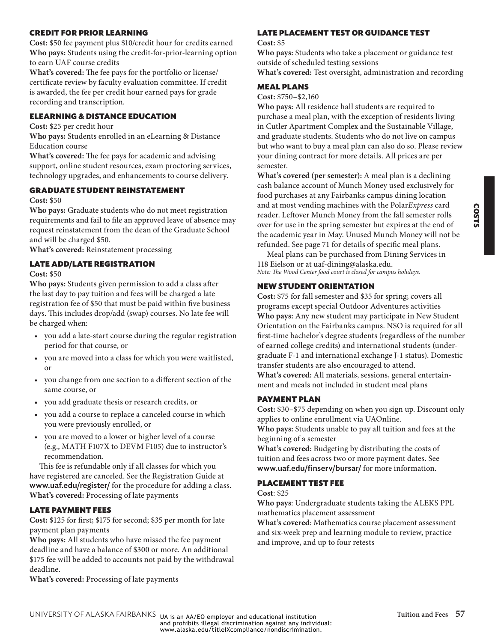# COSTS

#### CREDIT FOR PRIOR LEARNING

**Cost:** \$50 fee payment plus \$10/credit hour for credits earned **Who pays:** Students using the credit-for-prior-learning option to earn UAF course credits

**What's covered:** The fee pays for the portfolio or license/ certificate review by faculty evaluation committee. If credit is awarded, the fee per credit hour earned pays for grade recording and transcription.

#### ELEARNING & DISTANCE EDUCATION

**Cost:** \$25 per credit hour

**Who pays:** Students enrolled in an eLearning & Distance Education course

**What's covered:** The fee pays for academic and advising support, online student resources, exam proctoring services, technology upgrades, and enhancements to course delivery.

#### GRADUATE STUDENT REINSTATEMENT

#### **Cost:** \$50

**Who pays:** Graduate students who do not meet registration requirements and fail to file an approved leave of absence may request reinstatement from the dean of the Graduate School and will be charged \$50.

**What's covered:** Reinstatement processing

#### LATE ADD/LATE REGISTRATION

#### **Cost:** \$50

**Who pays:** Students given permission to add a class after the last day to pay tuition and fees will be charged a late registration fee of \$50 that must be paid within five business days. This includes drop/add (swap) courses. No late fee will be charged when:

- you add a late-start course during the regular registration period for that course, or
- you are moved into a class for which you were waitlisted, or
- you change from one section to a different section of the same course, or
- you add graduate thesis or research credits, or
- you add a course to replace a canceled course in which you were previously enrolled, or
- you are moved to a lower or higher level of a course (e.g., MATH F107X to DEVM F105) due to instructor's recommendation.

This fee is refundable only if all classes for which you have registered are canceled. See the Registration Guide at www.uaf.edu/register/ for the procedure for adding a class. **What's covered:** Processing of late payments

#### LATE PAYMENT FEES

**Cost:** \$125 for first; \$175 for second; \$35 per month for late payment plan payments

**Who pays:** All students who have missed the fee payment deadline and have a balance of \$300 or more. An additional \$175 fee will be added to accounts not paid by the withdrawal deadline.

**What's covered:** Processing of late payments

#### LATE PLACEMENT TEST OR GUIDANCE TEST

#### **Cost:** \$5

**Who pays:** Students who take a placement or guidance test outside of scheduled testing sessions **What's covered:** Test oversight, administration and recording

#### MEAL PLANS

**Cost:** \$750–\$2,160

**Who pays:** All residence hall students are required to purchase a meal plan, with the exception of residents living in Cutler Apartment Complex and the Sustainable Village, and graduate students. Students who do not live on campus but who want to buy a meal plan can also do so. Please review your dining contract for more details. All prices are per semester.

**What's covered (per semester):** A meal plan is a declining cash balance account of Munch Money used exclusively for food purchases at any Fairbanks campus dining location and at most vending machines with the Polar*Express* card reader. Leftover Munch Money from the fall semester rolls over for use in the spring semester but expires at the end of the academic year in May. Unused Munch Money will not be refunded. See page 71 for details of specific meal plans.

Meal plans can be purchased from Dining Services in 118 Eielson or at uaf-dining@alaska.edu. *Note: The Wood Center food court is closed for campus holidays.*

#### NEW STUDENT ORIENTATION

**Cost:** \$75 for fall semester and \$35 for spring; covers all programs except special Outdoor Adventures activities **Who pays:** Any new student may participate in New Student Orientation on the Fairbanks campus. NSO is required for all first-time bachelor's degree students (regardless of the number of earned college credits) and international students (undergraduate F-1 and international exchange J-1 status). Domestic transfer students are also encouraged to attend. **What's covered:** All materials, sessions, general entertainment and meals not included in student meal plans

#### PAYMENT PLAN

**Cost:** \$30–\$75 depending on when you sign up. Discount only applies to online enrollment via UAOnline.

**Who pays:** Students unable to pay all tuition and fees at the beginning of a semester

**What's covered:** Budgeting by distributing the costs of tuition and fees across two or more payment dates. See www.uaf.edu/finserv/bursar/ for more information.

#### PLACEMENT TEST FEE

#### **Cost**: \$25

**Who pays**: Undergraduate students taking the ALEKS PPL mathematics placement assessment

**What's covered**: Mathematics course placement assessment and six-week prep and learning module to review, practice and improve, and up to four retests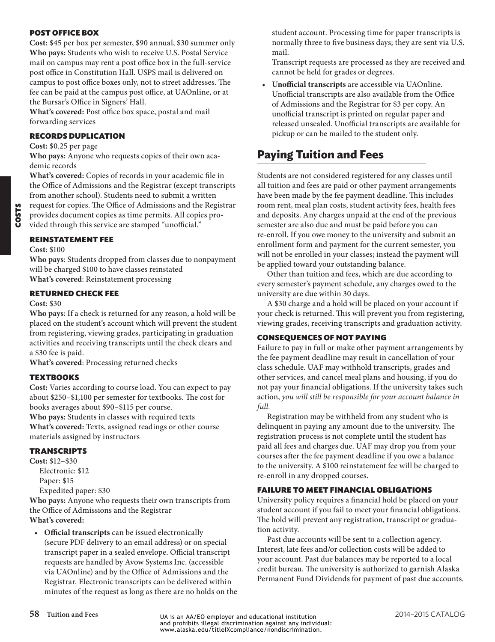#### POST OFFICE BOX

**Cost:** \$45 per box per semester, \$90 annual, \$30 summer only **Who pays:** Students who wish to receive U.S. Postal Service mail on campus may rent a post office box in the full-service post office in Constitution Hall. USPS mail is delivered on campus to post office boxes only, not to street addresses. The fee can be paid at the campus post office, at UAOnline, or at the Bursar's Office in Signers' Hall.

**What's covered:** Post office box space, postal and mail forwarding services

#### RECORDS DUPLICATION

**Cost:** \$0.25 per page

**Who pays:** Anyone who requests copies of their own academic records

**What's covered:** Copies of records in your academic file in the Office of Admissions and the Registrar (except transcripts from another school). Students need to submit a written request for copies. The Office of Admissions and the Registrar provides document copies as time permits. All copies pro-

vided through this service are stamped "unofficial."

#### REINSTATEMENT FEE

#### **Cost**: \$100

**Who pays**: Students dropped from classes due to nonpayment will be charged \$100 to have classes reinstated **What's covered**: Reinstatement processing

#### RETURNED CHECK FEE

#### **Cost**: \$30

**Who pays**: If a check is returned for any reason, a hold will be placed on the student's account which will prevent the student from registering, viewing grades, participating in graduation activities and receiving transcripts until the check clears and a \$30 fee is paid.

**What's covered**: Processing returned checks

#### **TEXTBOOKS**

**Cost:** Varies according to course load. You can expect to pay about \$250–\$1,100 per semester for textbooks. The cost for books averages about \$90–\$115 per course.

**Who pays:** Students in classes with required texts **What's covered:** Texts, assigned readings or other course materials assigned by instructors

#### TRANSCRIPTS

**Cost:** \$12–\$30 Electronic: \$12 Paper: \$15 Expedited paper: \$30

**Who pays:** Anyone who requests their own transcripts from the Office of Admissions and the Registrar **What's covered:**

• **Official transcripts** can be issued electronically (secure PDF delivery to an email address) or on special transcript paper in a sealed envelope. Official transcript requests are handled by Avow Systems Inc. (accessible via UAOnline) and by the Office of Admissions and the Registrar. Electronic transcripts can be delivered within minutes of the request as long as there are no holds on the student account. Processing time for paper transcripts is normally three to five business days; they are sent via U.S. mail.

Transcript requests are processed as they are received and cannot be held for grades or degrees.

• **Unofficial transcripts** are accessible via UAOnline. Unofficial transcripts are also available from the Office of Admissions and the Registrar for \$3 per copy. An unofficial transcript is printed on regular paper and released unsealed. Unofficial transcripts are available for pickup or can be mailed to the student only.

# **Paying Tuition and Fees**

Students are not considered registered for any classes until all tuition and fees are paid or other payment arrangements have been made by the fee payment deadline. This includes room rent, meal plan costs, student activity fees, health fees and deposits. Any charges unpaid at the end of the previous semester are also due and must be paid before you can re-enroll. If you owe money to the university and submit an enrollment form and payment for the current semester, you will not be enrolled in your classes; instead the payment will be applied toward your outstanding balance.

Other than tuition and fees, which are due according to every semester's payment schedule, any charges owed to the university are due within 30 days.

A \$30 charge and a hold will be placed on your account if your check is returned. This will prevent you from registering, viewing grades, receiving transcripts and graduation activity.

#### CONSEQUENCES OF NOT PAYING

Failure to pay in full or make other payment arrangements by the fee payment deadline may result in cancellation of your class schedule. UAF may withhold transcripts, grades and other services, and cancel meal plans and housing, if you do not pay your financial obligations. If the university takes such action, *you will still be responsible for your account balance in full.*

Registration may be withheld from any student who is delinquent in paying any amount due to the university. The registration process is not complete until the student has paid all fees and charges due. UAF may drop you from your courses after the fee payment deadline if you owe a balance to the university. A \$100 reinstatement fee will be charged to re-enroll in any dropped courses.

#### FAILURE TO MEET FINANCIAL OBLIGATIONS

University policy requires a financial hold be placed on your student account if you fail to meet your financial obligations. The hold will prevent any registration, transcript or graduation activity.

Past due accounts will be sent to a collection agency. Interest, late fees and/or collection costs will be added to your account. Past due balances may be reported to a local credit bureau. The university is authorized to garnish Alaska Permanent Fund Dividends for payment of past due accounts.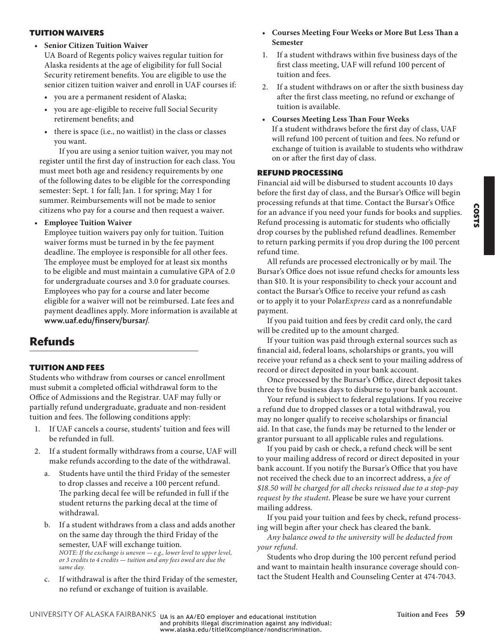#### TUITION WAIVERS

• **Senior Citizen Tuition Waiver**

UA Board of Regents policy waives regular tuition for Alaska residents at the age of eligibility for full Social Security retirement benefits. You are eligible to use the senior citizen tuition waiver and enroll in UAF courses if:

- you are a permanent resident of Alaska;
- you are age-eligible to receive full Social Security retirement benefits; and
- there is space (i.e., no waitlist) in the class or classes you want.

If you are using a senior tuition waiver, you may not register until the first day of instruction for each class. You must meet both age and residency requirements by one of the following dates to be eligible for the corresponding semester: Sept. 1 for fall; Jan. 1 for spring; May 1 for summer. Reimbursements will not be made to senior citizens who pay for a course and then request a waiver.

#### • **Employee Tuition Waiver**

Employee tuition waivers pay only for tuition. Tuition waiver forms must be turned in by the fee payment deadline. The employee is responsible for all other fees. The employee must be employed for at least six months to be eligible and must maintain a cumulative GPA of 2.0 for undergraduate courses and 3.0 for graduate courses. Employees who pay for a course and later become eligible for a waiver will not be reimbursed. Late fees and payment deadlines apply. More information is available at www.uaf.edu/finserv/bursar/.

# <span id="page-7-0"></span>**Refunds**

#### TUITION AND FEES

Students who withdraw from courses or cancel enrollment must submit a completed official withdrawal form to the Office of Admissions and the Registrar. UAF may fully or partially refund undergraduate, graduate and non-resident tuition and fees. The following conditions apply:

- 1. If UAF cancels a course, students' tuition and fees will be refunded in full.
- 2. If a student formally withdraws from a course, UAF will make refunds according to the date of the withdrawal.
	- a. Students have until the third Friday of the semester to drop classes and receive a 100 percent refund. The parking decal fee will be refunded in full if the student returns the parking decal at the time of withdrawal.
	- b. If a student withdraws from a class and adds another on the same day through the third Friday of the semester, UAF will exchange tuition. *NOTE: If the exchange is uneven — e.g., lower level to upper level, or 3 credits to 4 credits — tuition and any fees owed are due the same day.*
	- c. If withdrawal is after the third Friday of the semester, no refund or exchange of tuition is available.
- **Courses Meeting Four Weeks or More But Less Than a Semester**
- 1. If a student withdraws within five business days of the first class meeting, UAF will refund 100 percent of tuition and fees.
- 2. If a student withdraws on or after the sixth business day after the first class meeting, no refund or exchange of tuition is available.
- **Courses Meeting Less Than Four Weeks** If a student withdraws before the first day of class, UAF will refund 100 percent of tuition and fees. No refund or exchange of tuition is available to students who withdraw on or after the first day of class.

#### REFUND PROCESSING

Financial aid will be disbursed to student accounts 10 days before the first day of class, and the Bursar's Office will begin processing refunds at that time. Contact the Bursar's Office for an advance if you need your funds for books and supplies. Refund processing is automatic for students who officially drop courses by the published refund deadlines. Remember to return parking permits if you drop during the 100 percent refund time.

COSTS

All refunds are processed electronically or by mail. The Bursar's Office does not issue refund checks for amounts less than \$10. It is your responsibility to check your account and contact the Bursar's Office to receive your refund as cash or to apply it to your Polar*Express* card as a nonrefundable payment.

If you paid tuition and fees by credit card only, the card will be credited up to the amount charged.

If your tuition was paid through external sources such as financial aid, federal loans, scholarships or grants, you will receive your refund as a check sent to your mailing address of record or direct deposited in your bank account.

Once processed by the Bursar's Office, direct deposit takes three to five business days to disburse to your bank account.

Your refund is subject to federal regulations. If you receive a refund due to dropped classes or a total withdrawal, you may no longer qualify to receive scholarships or financial aid. In that case, the funds may be returned to the lender or grantor pursuant to all applicable rules and regulations.

If you paid by cash or check, a refund check will be sent to your mailing address of record or direct deposited in your bank account. If you notify the Bursar's Office that you have not received the check due to an incorrect address, a *fee of \$18.50 will be charged for all checks reissued due to a stop-pay request by the student*. Please be sure we have your current mailing address.

If you paid your tuition and fees by check, refund processing will begin after your check has cleared the bank.

*Any balance owed to the university will be deducted from your refund.*

Students who drop during the 100 percent refund period and want to maintain health insurance coverage should contact the Student Health and Counseling Center at 474-7043.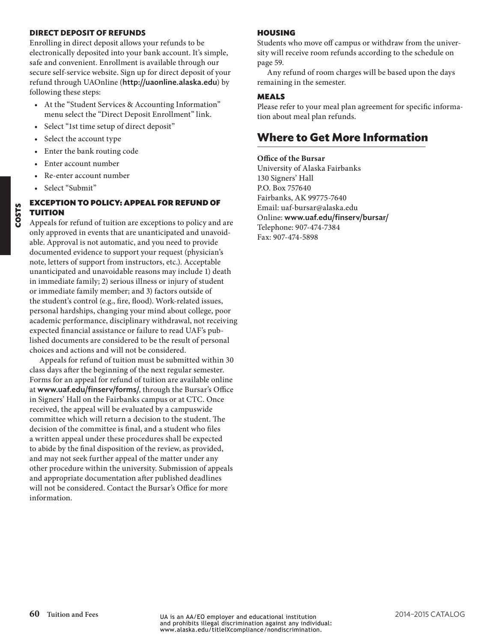#### **DIRECT DEPOSIT OF REFUNDS**

Enrolling in direct deposit allows your refunds to be electronically deposited into your bank account. It's simple, safe and convenient. Enrollment is available through our secure self-service website. Sign up for direct deposit of your refund through UAOnline (http://uaonline.alaska.edu) by following these steps:

- At the "Student Services & Accounting Information" menu select the "Direct Deposit Enrollment" link.
- Select "1st time setup of direct deposit"
- Select the account type
- Enter the bank routing code
- Enter account number
- Re-enter account number
- Select "Submit"

#### EXCEPTION TO POLICY: APPEAL FOR REFUND OF TUITION

Appeals for refund of tuition are exceptions to policy and are only approved in events that are unanticipated and unavoidable. Approval is not automatic, and you need to provide documented evidence to support your request (physician's note, letters of support from instructors, etc.). Acceptable unanticipated and unavoidable reasons may include 1) death in immediate family; 2) serious illness or injury of student or immediate family member; and 3) factors outside of the student's control (e.g., fire, flood). Work-related issues, personal hardships, changing your mind about college, poor academic performance, disciplinary withdrawal, not receiving expected financial assistance or failure to read UAF's published documents are considered to be the result of personal choices and actions and will not be considered.

Appeals for refund of tuition must be submitted within 30 class days after the beginning of the next regular semester. Forms for an appeal for refund of tuition are available online at www.uaf.edu/finserv/forms/, through the Bursar's Office in Signers' Hall on the Fairbanks campus or at CTC. Once received, the appeal will be evaluated by a campuswide committee which will return a decision to the student. The decision of the committee is final, and a student who files a written appeal under these procedures shall be expected to abide by the final disposition of the review, as provided, and may not seek further appeal of the matter under any other procedure within the university. Submission of appeals and appropriate documentation after published deadlines will not be considered. Contact the Bursar's Office for more information.

#### HOUSING

Students who move off campus or withdraw from the university will receive room refunds according to the schedule on [page 59.](#page-7-0)

Any refund of room charges will be based upon the days remaining in the semester.

#### MEALS

Please refer to your meal plan agreement for specific information about meal plan refunds.

# **Where to Get More Information**

**Office of the Bursar** University of Alaska Fairbanks 130 Signers' Hall P.O. Box 757640 Fairbanks, AK 99775-7640 Email: uaf-bursar@alaska.edu Online: www.uaf.edu/finserv/bursar/ Telephone: 907-474-7384 Fax: 907-474-5898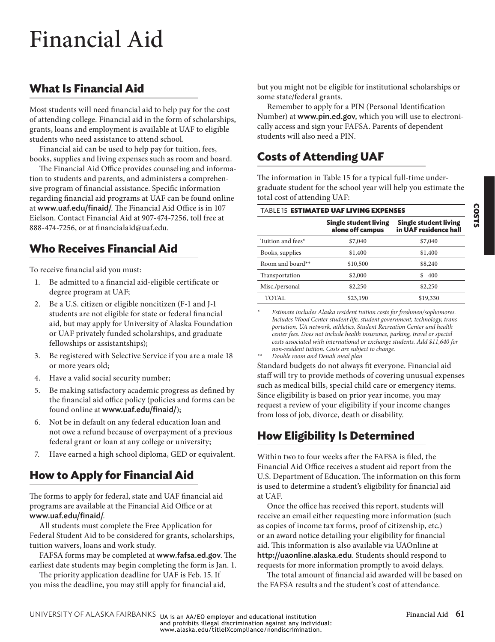# <span id="page-9-0"></span>Financial Aid

# **What Is Financial Aid**

Most students will need financial aid to help pay for the cost of attending college. Financial aid in the form of scholarships, grants, loans and employment is available at UAF to eligible students who need assistance to attend school.

Financial aid can be used to help pay for tuition, fees, books, supplies and living expenses such as room and board.

The Financial Aid Office provides counseling and information to students and parents, and administers a comprehensive program of financial assistance. Specific information regarding financial aid programs at UAF can be found online at www.uaf.edu/finaid/. The Financial Aid Office is in 107 Eielson. Contact Financial Aid at 907-474-7256, toll free at 888-474-7256, or at financialaid@uaf.edu.

# **Who Receives Financial Aid**

To receive financial aid you must:

- 1. Be admitted to a financial aid-eligible certificate or degree program at UAF;
- 2. Be a U.S. citizen or eligible noncitizen (F-1 and J-1 students are not eligible for state or federal financial aid, but may apply for University of Alaska Foundation or UAF privately funded scholarships, and graduate fellowships or assistantships);
- 3. Be registered with Selective Service if you are a male 18 or more years old;
- 4. Have a valid social security number;
- 5. Be making satisfactory academic progress as defined by the financial aid office policy (policies and forms can be found online at www.uaf.edu/finaid/);
- 6. Not be in default on any federal education loan and not owe a refund because of overpayment of a previous federal grant or loan at any college or university;
- 7. Have earned a high school diploma, GED or equivalent.

# **How to Apply for Financial Aid**

The forms to apply for federal, state and UAF financial aid programs are available at the Financial Aid Office or at www.uaf.edu/finaid/.

All students must complete the Free Application for Federal Student Aid to be considered for grants, scholarships, tuition waivers, loans and work study.

FAFSA forms may be completed at www.fafsa.ed.gov. The earliest date students may begin completing the form is Jan. 1.

The priority application deadline for UAF is Feb. 15. If you miss the deadline, you may still apply for financial aid, but you might not be eligible for institutional scholarships or some state/federal grants.

Remember to apply for a PIN (Personal Identification Number) at www.pin.ed.gov, which you will use to electronically access and sign your FAFSA. Parents of dependent students will also need a PIN.

# **Costs of Attending UAF**

The information in [Table 15](#page-9-1) for a typical full-time undergraduate student for the school year will help you estimate the total cost of attending UAF:

<span id="page-9-1"></span>

| <b>TABLE 15 ESTIMATED UAF LIVING EXPENSES</b> |                                                |  |  |
|-----------------------------------------------|------------------------------------------------|--|--|
| Single student living<br>alone off campus     | Single student living<br>in UAF residence hall |  |  |
| \$7,040                                       | \$7,040                                        |  |  |
| \$1,400                                       | \$1,400                                        |  |  |
| \$10,500                                      | \$8,240                                        |  |  |
| \$2,000                                       | 400<br>\$.                                     |  |  |
| \$2,250                                       | \$2,250                                        |  |  |
| \$23,190                                      | \$19,330                                       |  |  |
|                                               |                                                |  |  |

*\* Estimate includes Alaska resident tuition costs for freshmen/sophomores. Includes Wood Center student life, student government, technology, transportation, UA network, athletics, Student Recreation Center and health center fees. Does not include health insurance, parking, travel or special costs associated with international or exchange students. Add \$11,640 for non-resident tuition. Costs are subject to change.*

*\*\* Double room and Denali meal plan*

Standard budgets do not always fit everyone. Financial aid staff will try to provide methods of covering unusual expenses such as medical bills, special child care or emergency items. Since eligibility is based on prior year income, you may request a review of your eligibility if your income changes from loss of job, divorce, death or disability.

# **How Eligibility Is Determined**

Within two to four weeks after the FAFSA is filed, the Financial Aid Office receives a student aid report from the U.S. Department of Education. The information on this form is used to determine a student's eligibility for financial aid at UAF.

Once the office has received this report, students will receive an email either requesting more information (such as copies of income tax forms, proof of citizenship, etc.) or an award notice detailing your eligibility for financial aid. This information is also available via UAOnline at http://uaonline.alaska.edu. Students should respond to requests for more information promptly to avoid delays.

The total amount of financial aid awarded will be based on the FAFSA results and the student's cost of attendance.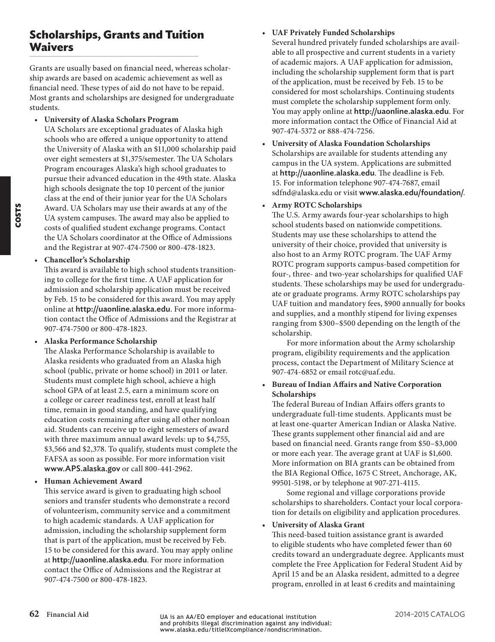# **Scholarships, Grants and Tuition Waivers**

Grants are usually based on financial need, whereas scholarship awards are based on academic achievement as well as financial need. These types of aid do not have to be repaid. Most grants and scholarships are designed for undergraduate students.

• **University of Alaska Scholars Program**

UA Scholars are exceptional graduates of Alaska high schools who are offered a unique opportunity to attend the University of Alaska with an \$11,000 scholarship paid over eight semesters at \$1,375/semester. The UA Scholars Program encourages Alaska's high school graduates to pursue their advanced education in the 49th state. Alaska high schools designate the top 10 percent of the junior class at the end of their junior year for the UA Scholars Award. UA Scholars may use their awards at any of the UA system campuses. The award may also be applied to costs of qualified student exchange programs. Contact the UA Scholars coordinator at the Office of Admissions and the Registrar at 907-474-7500 or 800-478-1823.

#### • **Chancellor's Scholarship**

This award is available to high school students transitioning to college for the first time. A UAF application for admission and scholarship application must be received by Feb. 15 to be considered for this award. You may apply online at http://uaonline.alaska.edu. For more information contact the Office of Admissions and the Registrar at 907-474-7500 or 800-478-1823.

#### • **Alaska Performance Scholarship**

The Alaska Performance Scholarship is available to Alaska residents who graduated from an Alaska high school (public, private or home school) in 2011 or later. Students must complete high school, achieve a high school GPA of at least 2.5, earn a minimum score on a college or career readiness test, enroll at least half time, remain in good standing, and have qualifying education costs remaining after using all other nonloan aid. Students can receive up to eight semesters of award with three maximum annual award levels: up to \$4,755, \$3,566 and \$2,378. To qualify, students must complete the FAFSA as soon as possible. For more information visit www.APS.alaska.gov or call 800-441-2962.

#### • **Human Achievement Award**

This service award is given to graduating high school seniors and transfer students who demonstrate a record of volunteerism, community service and a commitment to high academic standards. A UAF application for admission, including the scholarship supplement form that is part of the application, must be received by Feb. 15 to be considered for this award. You may apply online at http://uaonline.alaska.edu. For more information contact the Office of Admissions and the Registrar at 907-474-7500 or 800-478-1823.

#### • **UAF Privately Funded Scholarships**

Several hundred privately funded scholarships are available to all prospective and current students in a variety of academic majors. A UAF application for admission, including the scholarship supplement form that is part of the application, must be received by Feb. 15 to be considered for most scholarships. Continuing students must complete the scholarship supplement form only. You may apply online at http://uaonline.alaska.edu. For more information contact the Office of Financial Aid at 907-474-5372 or 888-474-7256.

• **University of Alaska Foundation Scholarships** Scholarships are available for students attending any campus in the UA system. Applications are submitted at http://uaonline.alaska.edu. The deadline is Feb. 15. For information telephone 907-474-7687, email sdfnd@alaska.edu or visit www.alaska.edu/foundation/.

#### • **Army ROTC Scholarships**

The U.S. Army awards four-year scholarships to high school students based on nationwide competitions. Students may use these scholarships to attend the university of their choice, provided that university is also host to an Army ROTC program. The UAF Army ROTC program supports campus-based competition for four-, three- and two-year scholarships for qualified UAF students. These scholarships may be used for undergraduate or graduate programs. Army ROTC scholarships pay UAF tuition and mandatory fees, \$900 annually for books and supplies, and a monthly stipend for living expenses ranging from \$300–\$500 depending on the length of the scholarship.

For more information about the Army scholarship program, eligibility requirements and the application process, contact the Department of Military Science at 907-474-6852 or email rotc@uaf.edu.

#### • **Bureau of Indian Affairs and Native Corporation Scholarships**

The federal Bureau of Indian Affairs offers grants to undergraduate full-time students. Applicants must be at least one-quarter American Indian or Alaska Native. These grants supplement other financial aid and are based on financial need. Grants range from \$50–\$3,000 or more each year. The average grant at UAF is \$1,600. More information on BIA grants can be obtained from the BIA Regional Office, 1675 C Street, Anchorage, AK, 99501-5198, or by telephone at 907-271-4115.

Some regional and village corporations provide scholarships to shareholders. Contact your local corporation for details on eligibility and application procedures.

#### • **University of Alaska Grant**

This need-based tuition assistance grant is awarded to eligible students who have completed fewer than 60 credits toward an undergraduate degree. Applicants must complete the Free Application for Federal Student Aid by April 15 and be an Alaska resident, admitted to a degree program, enrolled in at least 6 credits and maintaining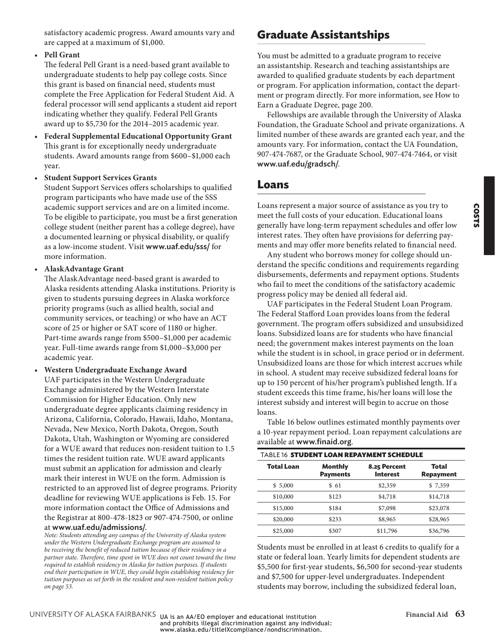COSTS

#### • **Pell Grant**

The federal Pell Grant is a need-based grant available to undergraduate students to help pay college costs. Since this grant is based on financial need, students must complete the Free Application for Federal Student Aid. A federal processor will send applicants a student aid report indicating whether they qualify. Federal Pell Grants award up to \$5,730 for the 2014–2015 academic year.

- **Federal Supplemental Educational Opportunity Grant** This grant is for exceptionally needy undergraduate students. Award amounts range from \$600–\$1,000 each year.
- **Student Support Services Grants**

Student Support Services offers scholarships to qualified program participants who have made use of the SSS academic support services and are on a limited income. To be eligible to participate, you must be a first generation college student (neither parent has a college degree), have a documented learning or physical disability, or qualify as a low-income student. Visit www.uaf.edu/sss/ for more information.

• **AlaskAdvantage Grant**

The AlaskAdvantage need-based grant is awarded to Alaska residents attending Alaska institutions. Priority is given to students pursuing degrees in Alaska workforce priority programs (such as allied health, social and community services, or teaching) or who have an ACT score of 25 or higher or SAT score of 1180 or higher. Part-time awards range from \$500–\$1,000 per academic year. Full-time awards range from \$1,000–\$3,000 per academic year.

• **Western Undergraduate Exchange Award** UAF participates in the Western Undergraduate Exchange administered by the Western Interstate Commission for Higher Education. Only new undergraduate degree applicants claiming residency in Arizona, California, Colorado, Hawaii, Idaho, Montana, Nevada, New Mexico, North Dakota, Oregon, South Dakota, Utah, Washington or Wyoming are considered for a WUE award that reduces non-resident tuition to 1.5 times the resident tuition rate. WUE award applicants must submit an application for admission and clearly mark their interest in WUE on the form. Admission is restricted to an approved list of degree programs. Priority deadline for reviewing WUE applications is Feb. 15. For more information contact the Office of Admissions and the Registrar at 800-478-1823 or 907-474-7500, or online at www.uaf.edu/admissions/.

*Note: Students attending any campus of the University of Alaska system under the Western Undergraduate Exchange program are assumed to be receiving the benefit of reduced tuition because of their residency in a partner state. Therefore, time spent in WUE does not count toward the time required to establish residency in Alaska for tuition purposes. If students end their participation in WUE, they could begin establishing residency for tuition purposes as set forth in the resident and non-resident tuition policy on [page 53](#page-1-2).*

# **Graduate Assistantships**

You must be admitted to a graduate program to receive an assistantship. Research and teaching assistantships are awarded to qualified graduate students by each department or program. For application information, contact the department or program directly. For more information, see How to Earn a Graduate Degree, page 200.

Fellowships are available through the University of Alaska Foundation, the Graduate School and private organizations. A limited number of these awards are granted each year, and the amounts vary. For information, contact the UA Foundation, 907-474-7687, or the Graduate School, 907-474-7464, or visit www.uaf.edu/gradsch/.

### **Loans**

Loans represent a major source of assistance as you try to meet the full costs of your education. Educational loans generally have long-term repayment schedules and offer low interest rates. They often have provisions for deferring payments and may offer more benefits related to financial need.

Any student who borrows money for college should understand the specific conditions and requirements regarding disbursements, deferments and repayment options. Students who fail to meet the conditions of the satisfactory academic progress policy may be denied all federal aid.

UAF participates in the Federal Student Loan Program. The Federal Stafford Loan provides loans from the federal government. The program offers subsidized and unsubsidized loans. Subsidized loans are for students who have financial need; the government makes interest payments on the loan while the student is in school, in grace period or in deferment. Unsubsidized loans are those for which interest accrues while in school. A student may receive subsidized federal loans for up to 150 percent of his/her program's published length. If a student exceeds this time frame, his/her loans will lose the interest subsidy and interest will begin to accrue on those loans.

[Table 16](#page-11-0) below outlines estimated monthly payments over a 10-year repayment period. Loan repayment calculations are available at www.finaid.org.

<span id="page-11-0"></span>

| TABLE 16 STUDENT LOAN REPAYMENT SCHEDULE |                            |                                 |                    |
|------------------------------------------|----------------------------|---------------------------------|--------------------|
| <b>Total Loan</b>                        | Monthly<br><b>Payments</b> | 8.25 Percent<br><b>Interest</b> | Total<br>Repayment |
| \$5,000                                  | \$ 61                      | \$2,359                         | \$7,359            |
| \$10,000                                 | \$123                      | \$4,718                         | \$14,718           |
| \$15,000                                 | \$184                      | \$7,098                         | \$23,078           |
| \$20,000                                 | \$233                      | \$8,965                         | \$28,965           |
| \$25,000                                 | \$307                      | \$11,796                        | \$36,796           |

Students must be enrolled in at least 6 credits to qualify for a state or federal loan. Yearly limits for dependent students are \$5,500 for first-year students, \$6,500 for second-year students and \$7,500 for upper-level undergraduates. Independent students may borrow, including the subsidized federal loan,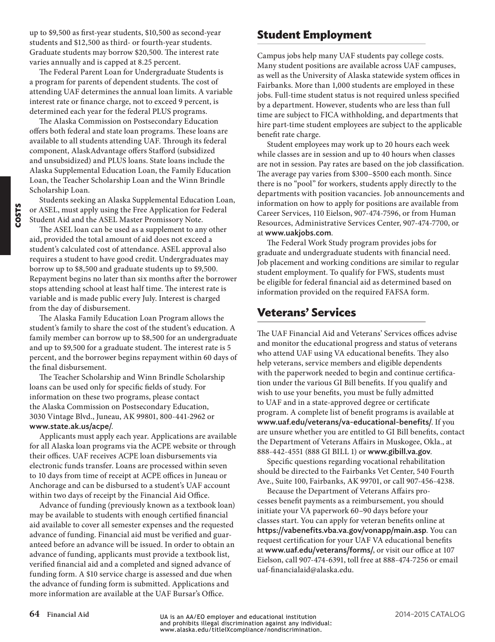up to \$9,500 as first-year students, \$10,500 as second-year students and \$12,500 as third- or fourth-year students. Graduate students may borrow \$20,500. The interest rate varies annually and is capped at 8.25 percent.

The Federal Parent Loan for Undergraduate Students is a program for parents of dependent students. The cost of attending UAF determines the annual loan limits. A variable interest rate or finance charge, not to exceed 9 percent, is determined each year for the federal PLUS programs.

The Alaska Commission on Postsecondary Education offers both federal and state loan programs. These loans are available to all students attending UAF. Through its federal component, AlaskAdvantage offers Stafford (subsidized and unsubsidized) and PLUS loans. State loans include the Alaska Supplemental Education Loan, the Family Education Loan, the Teacher Scholarship Loan and the Winn Brindle Scholarship Loan.

Students seeking an Alaska Supplemental Education Loan, or ASEL, must apply using the Free Application for Federal Student Aid and the ASEL Master Promissory Note.

The ASEL loan can be used as a supplement to any other aid, provided the total amount of aid does not exceed a student's calculated cost of attendance. ASEL approval also requires a student to have good credit. Undergraduates may borrow up to \$8,500 and graduate students up to \$9,500. Repayment begins no later than six months after the borrower stops attending school at least half time. The interest rate is variable and is made public every July. Interest is charged from the day of disbursement.

The Alaska Family Education Loan Program allows the student's family to share the cost of the student's education. A family member can borrow up to \$8,500 for an undergraduate and up to \$9,500 for a graduate student. The interest rate is 5 percent, and the borrower begins repayment within 60 days of the final disbursement.

The Teacher Scholarship and Winn Brindle Scholarship loans can be used only for specific fields of study. For information on these two programs, please contact the Alaska Commission on Postsecondary Education, 3030 Vintage Blvd., Juneau, AK 99801, 800-441-2962 or www.state.ak.us/acpe/.

Applicants must apply each year. Applications are available for all Alaska loan programs via the ACPE website or through their offices. UAF receives ACPE loan disbursements via electronic funds transfer. Loans are processed within seven to 10 days from time of receipt at ACPE offices in Juneau or Anchorage and can be disbursed to a student's UAF account within two days of receipt by the Financial Aid Office.

Advance of funding (previously known as a textbook loan) may be available to students with enough certified financial aid available to cover all semester expenses and the requested advance of funding. Financial aid must be verified and guaranteed before an advance will be issued. In order to obtain an advance of funding, applicants must provide a textbook list, verified financial aid and a completed and signed advance of funding form. A \$10 service charge is assessed and due when the advance of funding form is submitted. Applications and more information are available at the UAF Bursar's Office.

# **Student Employment**

Campus jobs help many UAF students pay college costs. Many student positions are available across UAF campuses, as well as the University of Alaska statewide system offices in Fairbanks. More than 1,000 students are employed in these jobs. Full-time student status is not required unless specified by a department. However, students who are less than full time are subject to FICA withholding, and departments that hire part-time student employees are subject to the applicable benefit rate charge.

Student employees may work up to 20 hours each week while classes are in session and up to 40 hours when classes are not in session. Pay rates are based on the job classification. The average pay varies from \$300–\$500 each month. Since there is no "pool" for workers, students apply directly to the departments with position vacancies. Job announcements and information on how to apply for positions are available from Career Services, 110 Eielson, 907-474-7596, or from Human Resources, Administrative Services Center, 907-474-7700, or at www.uakjobs.com.

The Federal Work Study program provides jobs for graduate and undergraduate students with financial need. Job placement and working conditions are similar to regular student employment. To qualify for FWS, students must be eligible for federal financial aid as determined based on information provided on the required FAFSA form.

# **Veterans' Services**

The UAF Financial Aid and Veterans' Services offices advise and monitor the educational progress and status of veterans who attend UAF using VA educational benefits. They also help veterans, service members and eligible dependents with the paperwork needed to begin and continue certification under the various GI Bill benefits. If you qualify and wish to use your benefits, you must be fully admitted to UAF and in a state-approved degree or certificate program. A complete list of benefit programs is available at www.uaf.edu/veterans/va-educational-benefits/. If you are unsure whether you are entitled to GI Bill benefits, contact the Department of Veterans Affairs in Muskogee, Okla., at 888-442-4551 (888 GI BILL 1) or www.gibill.va.gov.

Specific questions regarding vocational rehabilitation should be directed to the Fairbanks Vet Center, 540 Fourth Ave., Suite 100, Fairbanks, AK 99701, or call 907-456-4238.

Because the Department of Veterans Affairs processes benefit payments as a reimbursement, you should initiate your VA paperwork 60–90 days before your classes start. You can apply for veteran benefits online at https://vabenefits.vba.va.gov/vonapp/main.asp. You can request certification for your UAF VA educational benefits at www.uaf.edu/veterans/forms/, or visit our office at 107 Eielson, call 907-474-6391, toll free at 888-474-7256 or email uaf-financialaid@alaska.edu.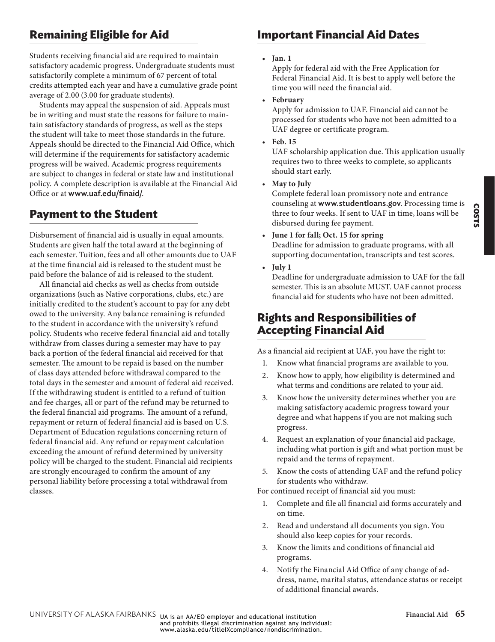# **Remaining Eligible for Aid**

Students receiving financial aid are required to maintain satisfactory academic progress. Undergraduate students must satisfactorily complete a minimum of 67 percent of total credits attempted each year and have a cumulative grade point average of 2.00 (3.00 for graduate students).

Students may appeal the suspension of aid. Appeals must be in writing and must state the reasons for failure to maintain satisfactory standards of progress, as well as the steps the student will take to meet those standards in the future. Appeals should be directed to the Financial Aid Office, which will determine if the requirements for satisfactory academic progress will be waived. Academic progress requirements are subject to changes in federal or state law and institutional policy. A complete description is available at the Financial Aid Office or at www.uaf.edu/finaid/.

# **Payment to the Student**

Disbursement of financial aid is usually in equal amounts. Students are given half the total award at the beginning of each semester. Tuition, fees and all other amounts due to UAF at the time financial aid is released to the student must be paid before the balance of aid is released to the student.

All financial aid checks as well as checks from outside organizations (such as Native corporations, clubs, etc.) are initially credited to the student's account to pay for any debt owed to the university. Any balance remaining is refunded to the student in accordance with the university's refund policy. Students who receive federal financial aid and totally withdraw from classes during a semester may have to pay back a portion of the federal financial aid received for that semester. The amount to be repaid is based on the number of class days attended before withdrawal compared to the total days in the semester and amount of federal aid received. If the withdrawing student is entitled to a refund of tuition and fee charges, all or part of the refund may be returned to the federal financial aid programs. The amount of a refund, repayment or return of federal financial aid is based on U.S. Department of Education regulations concerning return of federal financial aid. Any refund or repayment calculation exceeding the amount of refund determined by university policy will be charged to the student. Financial aid recipients are strongly encouraged to confirm the amount of any personal liability before processing a total withdrawal from classes.

# **Important Financial Aid Dates**

#### • **Jan. 1**

Apply for federal aid with the Free Application for Federal Financial Aid. It is best to apply well before the time you will need the financial aid.

• **February**

Apply for admission to UAF. Financial aid cannot be processed for students who have not been admitted to a UAF degree or certificate program.

• **Feb. 15**

UAF scholarship application due. This application usually requires two to three weeks to complete, so applicants should start early.

• **May to July**

Complete federal loan promissory note and entrance counseling at www.studentloans.gov. Processing time is three to four weeks. If sent to UAF in time, loans will be disbursed during fee payment.

- **June 1 for fall; Oct. 15 for spring** Deadline for admission to graduate programs, with all supporting documentation, transcripts and test scores.
- **July 1**

Deadline for undergraduate admission to UAF for the fall semester. This is an absolute MUST. UAF cannot process financial aid for students who have not been admitted.

# **Rights and Responsibilities of Accepting Financial Aid**

As a financial aid recipient at UAF, you have the right to:

- 1. Know what financial programs are available to you.
- 2. Know how to apply, how eligibility is determined and what terms and conditions are related to your aid.
- 3. Know how the university determines whether you are making satisfactory academic progress toward your degree and what happens if you are not making such progress.
- 4. Request an explanation of your financial aid package, including what portion is gift and what portion must be repaid and the terms of repayment.
- 5. Know the costs of attending UAF and the refund policy for students who withdraw.

For continued receipt of financial aid you must:

- 1. Complete and file all financial aid forms accurately and on time.
- 2. Read and understand all documents you sign. You should also keep copies for your records.
- 3. Know the limits and conditions of financial aid programs.
- 4. Notify the Financial Aid Office of any change of address, name, marital status, attendance status or receipt of additional financial awards.